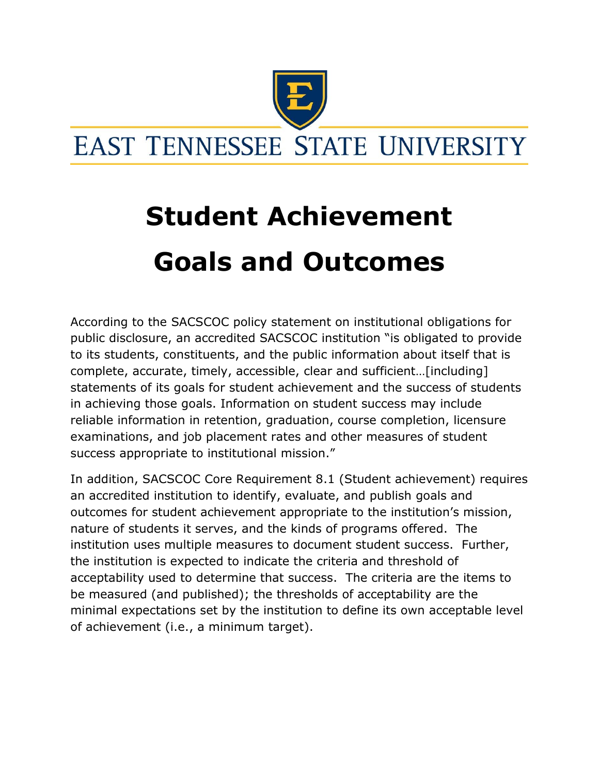

## **Student Achievement Goals and Outcomes**

According to the SACSCOC policy statement on institutional obligations for public disclosure, an accredited SACSCOC institution "is obligated to provide to its students, constituents, and the public information about itself that is complete, accurate, timely, accessible, clear and sufficient…[including] statements of its goals for student achievement and the success of students in achieving those goals. Information on student success may include reliable information in retention, graduation, course completion, licensure examinations, and job placement rates and other measures of student success appropriate to institutional mission."

In addition, SACSCOC Core Requirement 8.1 (Student achievement) requires an accredited institution to identify, evaluate, and publish goals and outcomes for student achievement appropriate to the institution's mission, nature of students it serves, and the kinds of programs offered. The institution uses multiple measures to document student success. Further, the institution is expected to indicate the criteria and threshold of acceptability used to determine that success. The criteria are the items to be measured (and published); the thresholds of acceptability are the minimal expectations set by the institution to define its own acceptable level of achievement (i.e., a minimum target).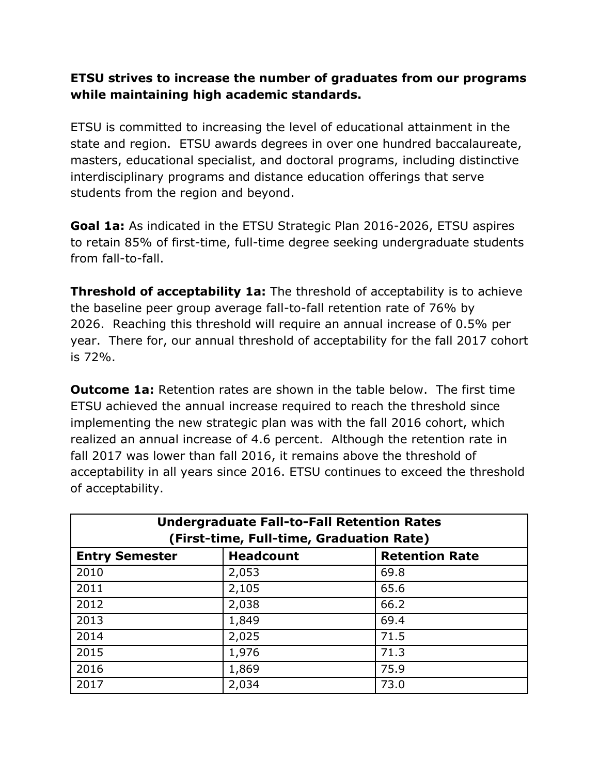## **ETSU strives to increase the number of graduates from our programs while maintaining high academic standards.**

ETSU is committed to increasing the level of educational attainment in the state and region. ETSU awards degrees in over one hundred baccalaureate, masters, educational specialist, and doctoral programs, including distinctive interdisciplinary programs and distance education offerings that serve students from the region and beyond.

**Goal 1a:** As indicated in the ETSU Strategic Plan 2016-2026, ETSU aspires to retain 85% of first-time, full-time degree seeking undergraduate students from fall-to-fall.

**Threshold of acceptability 1a:** The threshold of acceptability is to achieve the baseline peer group average fall-to-fall retention rate of 76% by 2026. Reaching this threshold will require an annual increase of 0.5% per year. There for, our annual threshold of acceptability for the fall 2017 cohort is 72%.

**Outcome 1a:** Retention rates are shown in the table below. The first time ETSU achieved the annual increase required to reach the threshold since implementing the new strategic plan was with the fall 2016 cohort, which realized an annual increase of 4.6 percent. Although the retention rate in fall 2017 was lower than fall 2016, it remains above the threshold of acceptability in all years since 2016. ETSU continues to exceed the threshold of acceptability.

| <b>Undergraduate Fall-to-Fall Retention Rates</b><br>(First-time, Full-time, Graduation Rate) |       |      |  |  |  |  |  |
|-----------------------------------------------------------------------------------------------|-------|------|--|--|--|--|--|
| <b>Headcount</b><br><b>Retention Rate</b><br><b>Entry Semester</b>                            |       |      |  |  |  |  |  |
| 2010                                                                                          | 2,053 | 69.8 |  |  |  |  |  |
| 2011                                                                                          | 2,105 | 65.6 |  |  |  |  |  |
| 2012                                                                                          | 2,038 | 66.2 |  |  |  |  |  |
| 2013                                                                                          | 1,849 | 69.4 |  |  |  |  |  |
| 2014                                                                                          | 2,025 | 71.5 |  |  |  |  |  |
| 2015                                                                                          | 1,976 | 71.3 |  |  |  |  |  |
| 2016                                                                                          | 1,869 | 75.9 |  |  |  |  |  |
| 2017                                                                                          | 2,034 | 73.0 |  |  |  |  |  |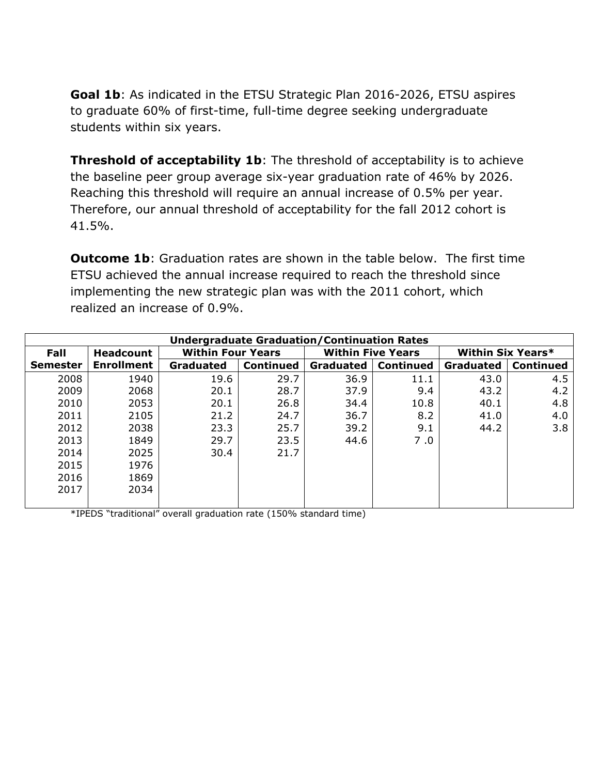**Goal 1b**: As indicated in the ETSU Strategic Plan 2016-2026, ETSU aspires to graduate 60% of first-time, full-time degree seeking undergraduate students within six years.

**Threshold of acceptability 1b:** The threshold of acceptability is to achieve the baseline peer group average six-year graduation rate of 46% by 2026. Reaching this threshold will require an annual increase of 0.5% per year. Therefore, our annual threshold of acceptability for the fall 2012 cohort is 41.5%.

**Outcome 1b**: Graduation rates are shown in the table below. The first time ETSU achieved the annual increase required to reach the threshold since implementing the new strategic plan was with the 2011 cohort, which realized an increase of 0.9%.

| <b>Undergraduate Graduation/Continuation Rates</b> |                   |                          |                  |                          |                  |                          |                  |  |
|----------------------------------------------------|-------------------|--------------------------|------------------|--------------------------|------------------|--------------------------|------------------|--|
| Fall                                               | <b>Headcount</b>  | <b>Within Four Years</b> |                  | <b>Within Five Years</b> |                  | <b>Within Six Years*</b> |                  |  |
| <b>Semester</b>                                    | <b>Enrollment</b> | <b>Graduated</b>         | <b>Continued</b> | <b>Graduated</b>         | <b>Continued</b> | <b>Graduated</b>         | <b>Continued</b> |  |
| 2008                                               | 1940              | 19.6                     | 29.7             | 36.9                     | 11.1             | 43.0                     | 4.5              |  |
| 2009                                               | 2068              | 20.1                     | 28.7             | 37.9                     | 9.4              | 43.2                     | 4.2              |  |
| 2010                                               | 2053              | 20.1                     | 26.8             | 34.4                     | 10.8             | 40.1                     | 4.8              |  |
| 2011                                               | 2105              | 21.2                     | 24.7             | 36.7                     | 8.2              | 41.0                     | 4.0              |  |
| 2012                                               | 2038              | 23.3                     | 25.7             | 39.2                     | 9.1              | 44.2                     | 3.8              |  |
| 2013                                               | 1849              | 29.7                     | 23.5             | 44.6                     | 7.0              |                          |                  |  |
| 2014                                               | 2025              | 30.4                     | 21.7             |                          |                  |                          |                  |  |
| 2015                                               | 1976              |                          |                  |                          |                  |                          |                  |  |
| 2016                                               | 1869              |                          |                  |                          |                  |                          |                  |  |
| 2017                                               | 2034              |                          |                  |                          |                  |                          |                  |  |
|                                                    |                   |                          |                  |                          |                  |                          |                  |  |

\*IPEDS "traditional" overall graduation rate (150% standard time)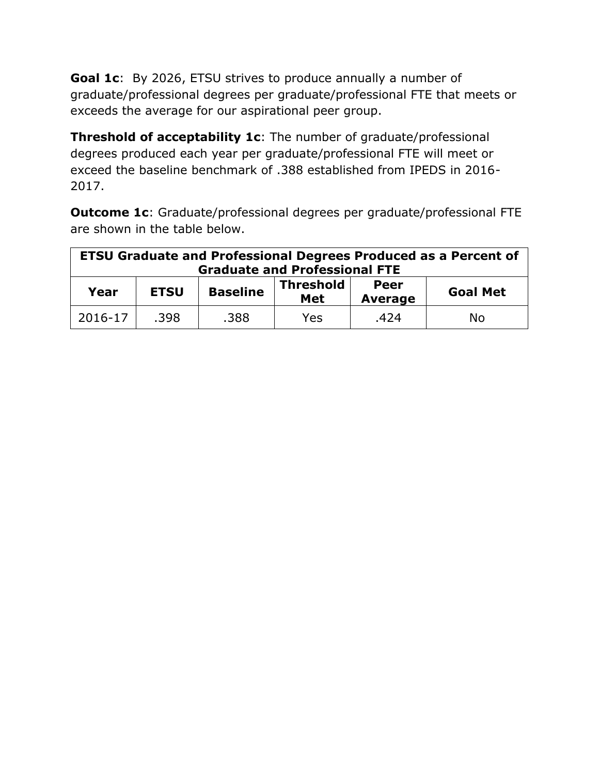**Goal 1c**: By 2026, ETSU strives to produce annually a number of graduate/professional degrees per graduate/professional FTE that meets or exceeds the average for our aspirational peer group.

**Threshold of acceptability 1c**: The number of graduate/professional degrees produced each year per graduate/professional FTE will meet or exceed the baseline benchmark of .388 established from IPEDS in 2016- 2017.

**Outcome 1c**: Graduate/professional degrees per graduate/professional FTE are shown in the table below.

| <b>ETSU Graduate and Professional Degrees Produced as a Percent of</b><br><b>Graduate and Professional FTE</b> |      |                 |                         |                        |                 |  |  |
|----------------------------------------------------------------------------------------------------------------|------|-----------------|-------------------------|------------------------|-----------------|--|--|
| <b>ETSU</b><br>Year                                                                                            |      | <b>Baseline</b> | <b>Threshold</b><br>Met | Peer<br><b>Average</b> | <b>Goal Met</b> |  |  |
| 2016-17                                                                                                        | .398 | .388            | Yes                     | .424                   | No              |  |  |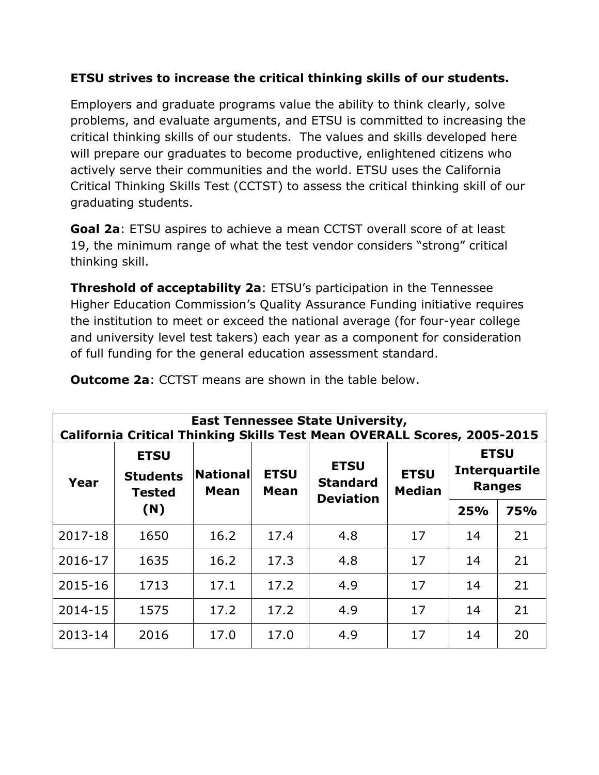## **ETSU strives to increase the critical thinking skills of our students.**

Employers and graduate programs value the ability to think clearly, solve problems, and evaluate arguments, and ETSU is committed to increasing the critical thinking skills of our students. The values and skills developed here will prepare our graduates to become productive, enlightened citizens who actively serve their communities and the world. ETSU uses the California Critical Thinking Skills Test (CCTST) to assess the critical thinking skill of our graduating students.

**Goal 2a**: ETSU aspires to achieve a mean CCTST overall score of at least 19, the minimum range of what the test vendor considers "strong" critical thinking skill.

**Threshold of acceptability 2a**: ETSU's participation in the Tennessee Higher Education Commission's Quality Assurance Funding initiative requires the institution to meet or exceed the national average (for four-year college and university level test takers) each year as a component for consideration of full funding for the general education assessment standard.

| <b>East Tennessee State University,</b><br>California Critical Thinking Skills Test Mean OVERALL Scores, 2005-2015 |                                                        |                         |                                                                                  |                              |                                                      |     |            |  |  |
|--------------------------------------------------------------------------------------------------------------------|--------------------------------------------------------|-------------------------|----------------------------------------------------------------------------------|------------------------------|------------------------------------------------------|-----|------------|--|--|
| Year                                                                                                               | <b>ETSU</b><br><b>Students</b><br><b>Tested</b><br>(N) | National<br><b>Mean</b> | <b>ETSU</b><br><b>ETSU</b><br><b>Standard</b><br><b>Mean</b><br><b>Deviation</b> | <b>ETSU</b><br><b>Median</b> | <b>ETSU</b><br><b>Interquartile</b><br><b>Ranges</b> |     |            |  |  |
|                                                                                                                    |                                                        |                         |                                                                                  |                              |                                                      | 25% | <b>75%</b> |  |  |
| 2017-18                                                                                                            | 1650                                                   | 16.2                    | 17.4                                                                             | 4.8                          | 17                                                   | 14  | 21         |  |  |
| 2016-17                                                                                                            | 1635                                                   | 16.2                    | 17.3                                                                             | 4.8                          | 17                                                   | 14  | 21         |  |  |
| 2015-16                                                                                                            | 1713                                                   | 17.1                    | 17.2                                                                             | 4.9                          | 17                                                   | 14  | 21         |  |  |
| 2014-15                                                                                                            | 1575                                                   | 17.2                    | 17.2                                                                             | 4.9                          | 17                                                   | 14  | 21         |  |  |
| 2013-14                                                                                                            | 2016                                                   | 17.0                    | 17.0                                                                             | 4.9                          | 17                                                   | 14  | 20         |  |  |

**Outcome 2a**: CCTST means are shown in the table below.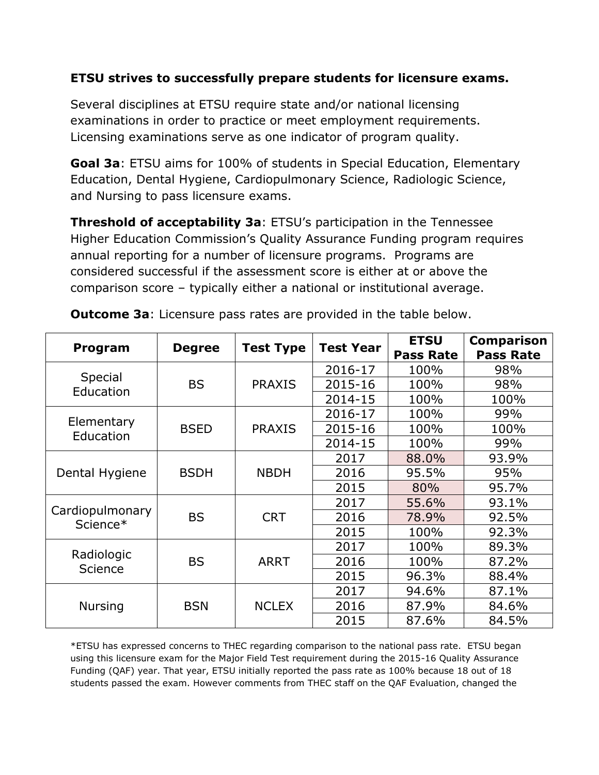## **ETSU strives to successfully prepare students for licensure exams.**

Several disciplines at ETSU require state and/or national licensing examinations in order to practice or meet employment requirements. Licensing examinations serve as one indicator of program quality.

**Goal 3a**: ETSU aims for 100% of students in Special Education, Elementary Education, Dental Hygiene, Cardiopulmonary Science, Radiologic Science, and Nursing to pass licensure exams.

**Threshold of acceptability 3a**: ETSU's participation in the Tennessee Higher Education Commission's Quality Assurance Funding program requires annual reporting for a number of licensure programs. Programs are considered successful if the assessment score is either at or above the comparison score – typically either a national or institutional average.

| Program                     | <b>Degree</b> | <b>Test Type</b> | <b>Test Year</b> | <b>ETSU</b><br><b>Pass Rate</b> | <b>Comparison</b><br><b>Pass Rate</b> |
|-----------------------------|---------------|------------------|------------------|---------------------------------|---------------------------------------|
|                             |               |                  | 2016-17          | 100%                            | 98%                                   |
| Special<br>Education        | <b>BS</b>     | <b>PRAXIS</b>    | 2015-16          | 100%                            | 98%                                   |
|                             |               |                  | 2014-15          | 100%                            | 100%                                  |
|                             |               |                  | 2016-17          | 100%                            | 99%                                   |
| Elementary<br>Education     | <b>BSED</b>   | <b>PRAXIS</b>    | 2015-16          | 100%                            | 100%                                  |
|                             |               |                  | 2014-15          | 100%                            | 99%                                   |
|                             |               | <b>NBDH</b>      | 2017             | 88.0%                           | 93.9%                                 |
| Dental Hygiene              | <b>BSDH</b>   |                  | 2016             | 95.5%                           | 95%                                   |
|                             |               |                  | 2015             | 80%                             | 95.7%                                 |
|                             |               |                  | 2017             | 55.6%                           | 93.1%                                 |
| Cardiopulmonary<br>Science* | <b>BS</b>     | <b>CRT</b>       | 2016             | 78.9%                           | 92.5%                                 |
|                             |               |                  | 2015             | 100%                            | 92.3%                                 |
|                             |               |                  | 2017             | 100%                            | 89.3%                                 |
| Radiologic                  | <b>BS</b>     | <b>ARRT</b>      | 2016             | 100%                            | 87.2%                                 |
| Science                     |               |                  | 2015             | 96.3%                           | 88.4%                                 |
|                             |               | <b>NCLEX</b>     | 2017             | 94.6%                           | 87.1%                                 |
| Nursing                     | <b>BSN</b>    |                  | 2016             | 87.9%                           | 84.6%                                 |
|                             |               |                  | 2015             | 87.6%                           | 84.5%                                 |

**Outcome 3a**: Licensure pass rates are provided in the table below.

\*ETSU has expressed concerns to THEC regarding comparison to the national pass rate. ETSU began using this licensure exam for the Major Field Test requirement during the 2015-16 Quality Assurance Funding (QAF) year. That year, ETSU initially reported the pass rate as 100% because 18 out of 18 students passed the exam. However comments from THEC staff on the QAF Evaluation, changed the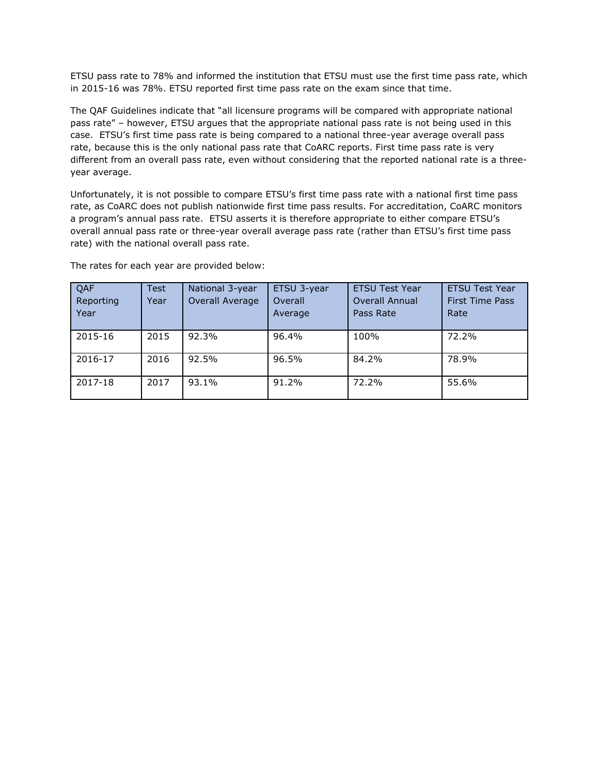ETSU pass rate to 78% and informed the institution that ETSU must use the first time pass rate, which in 2015-16 was 78%. ETSU reported first time pass rate on the exam since that time.

The QAF Guidelines indicate that "all licensure programs will be compared with appropriate national pass rate" – however, ETSU argues that the appropriate national pass rate is not being used in this case. ETSU's first time pass rate is being compared to a national three-year average overall pass rate, because this is the only national pass rate that CoARC reports. First time pass rate is very different from an overall pass rate, even without considering that the reported national rate is a threeyear average.

Unfortunately, it is not possible to compare ETSU's first time pass rate with a national first time pass rate, as CoARC does not publish nationwide first time pass results. For accreditation, CoARC monitors a program's annual pass rate. ETSU asserts it is therefore appropriate to either compare ETSU's overall annual pass rate or three-year overall average pass rate (rather than ETSU's first time pass rate) with the national overall pass rate.

| QAF<br>Reporting<br>Year | <b>Test</b><br>Year | National 3-year<br>Overall Average | ETSU 3-year<br>Overall<br>Average | <b>ETSU Test Year</b><br><b>Overall Annual</b><br>Pass Rate | <b>ETSU Test Year</b><br><b>First Time Pass</b><br>Rate |
|--------------------------|---------------------|------------------------------------|-----------------------------------|-------------------------------------------------------------|---------------------------------------------------------|
| 2015-16                  | 2015                | 92.3%                              | 96.4%                             | 100%                                                        | 72.2%                                                   |
| 2016-17                  | 2016                | 92.5%                              | 96.5%                             | 84.2%                                                       | 78.9%                                                   |
| 2017-18                  | 2017                | 93.1%                              | 91.2%                             | 72.2%                                                       | 55.6%                                                   |

The rates for each year are provided below: